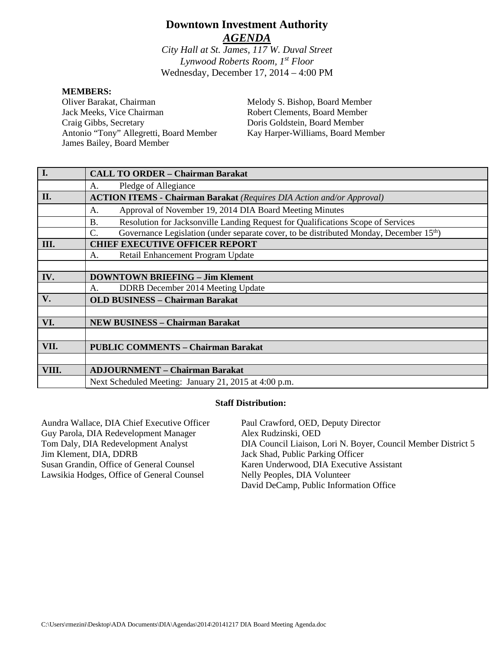# **Downtown Investment Authority** *AGENDA*

*City Hall at St. James, 117 W. Duval Street Lynwood Roberts Room, 1st Floor* Wednesday, December 17, 2014 – 4:00 PM

#### **MEMBERS:**

Oliver Barakat, Chairman Jack Meeks, Vice Chairman Craig Gibbs, Secretary Antonio "Tony" Allegretti, Board Member James Bailey, Board Member

Melody S. Bishop, Board Member Robert Clements, Board Member Doris Goldstein, Board Member Kay Harper-Williams, Board Member

| $\overline{I}$ . | <b>CALL TO ORDER - Chairman Barakat</b>                                                                                |  |
|------------------|------------------------------------------------------------------------------------------------------------------------|--|
|                  | Pledge of Allegiance<br>A.                                                                                             |  |
| II.              | <b>ACTION ITEMS - Chairman Barakat</b> (Requires DIA Action and/or Approval)                                           |  |
|                  | Approval of November 19, 2014 DIA Board Meeting Minutes<br>А.                                                          |  |
|                  | Resolution for Jacksonville Landing Request for Qualifications Scope of Services<br><b>B.</b>                          |  |
|                  | Governance Legislation (under separate cover, to be distributed Monday, December 15 <sup>th</sup> )<br>$\mathcal{C}$ . |  |
| Ш.               | <b>CHIEF EXECUTIVE OFFICER REPORT</b>                                                                                  |  |
|                  | Retail Enhancement Program Update<br>А.                                                                                |  |
|                  |                                                                                                                        |  |
| IV.              | <b>DOWNTOWN BRIEFING - Jim Klement</b>                                                                                 |  |
|                  | DDRB December 2014 Meeting Update<br>A.                                                                                |  |
| V.               | <b>OLD BUSINESS - Chairman Barakat</b>                                                                                 |  |
|                  |                                                                                                                        |  |
| VI.              | <b>NEW BUSINESS - Chairman Barakat</b>                                                                                 |  |
|                  |                                                                                                                        |  |
| VII.             | <b>PUBLIC COMMENTS - Chairman Barakat</b>                                                                              |  |
|                  |                                                                                                                        |  |
| VIII.            | <b>ADJOURNMENT – Chairman Barakat</b>                                                                                  |  |
|                  | Next Scheduled Meeting: January 21, 2015 at 4:00 p.m.                                                                  |  |

#### **Staff Distribution:**

| Aundra Wallace, DIA Chief Executive Officer | Paul Crawford, OED, Deputy Director                           |
|---------------------------------------------|---------------------------------------------------------------|
| Guy Parola, DIA Redevelopment Manager       | Alex Rudzinski, OED                                           |
| Tom Daly, DIA Redevelopment Analyst         | DIA Council Liaison, Lori N. Boyer, Council Member District 5 |
| Jim Klement, DIA, DDRB                      | Jack Shad, Public Parking Officer                             |
| Susan Grandin, Office of General Counsel    | Karen Underwood, DIA Executive Assistant                      |
| Lawsikia Hodges, Office of General Counsel  | Nelly Peoples, DIA Volunteer                                  |
|                                             | David DeCamp, Public Information Office                       |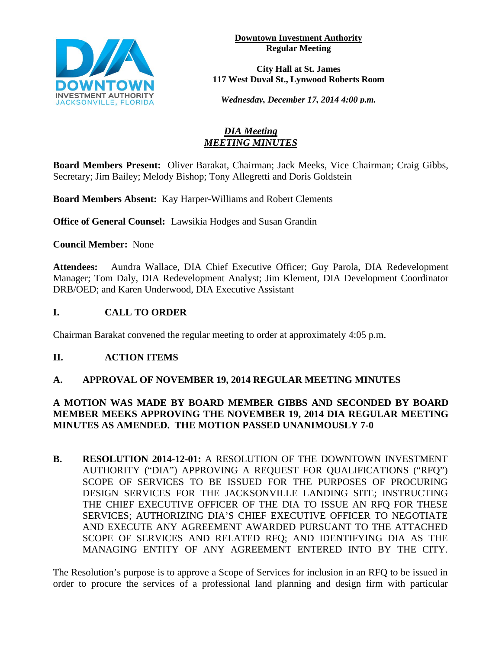

**Downtown Investment Authority Regular Meeting** 

**City Hall at St. James 117 West Duval St., Lynwood Roberts Room**

*Wednesday, December 17, 2014 4:00 p.m.*

# *DIA Meeting MEETING MINUTES*

**Board Members Present:** Oliver Barakat, Chairman; Jack Meeks, Vice Chairman; Craig Gibbs, Secretary; Jim Bailey; Melody Bishop; Tony Allegretti and Doris Goldstein

**Board Members Absent:** Kay Harper-Williams and Robert Clements

**Office of General Counsel:** Lawsikia Hodges and Susan Grandin

**Council Member:** None

**Attendees:** Aundra Wallace, DIA Chief Executive Officer; Guy Parola, DIA Redevelopment Manager; Tom Daly, DIA Redevelopment Analyst; Jim Klement, DIA Development Coordinator DRB/OED; and Karen Underwood, DIA Executive Assistant

# **I. CALL TO ORDER**

Chairman Barakat convened the regular meeting to order at approximately 4:05 p.m.

### **II. ACTION ITEMS**

### **A. APPROVAL OF NOVEMBER 19, 2014 REGULAR MEETING MINUTES**

# **A MOTION WAS MADE BY BOARD MEMBER GIBBS AND SECONDED BY BOARD MEMBER MEEKS APPROVING THE NOVEMBER 19, 2014 DIA REGULAR MEETING MINUTES AS AMENDED. THE MOTION PASSED UNANIMOUSLY 7-0**

**B. RESOLUTION 2014-12-01:** A RESOLUTION OF THE DOWNTOWN INVESTMENT AUTHORITY ("DIA") APPROVING A REQUEST FOR QUALIFICATIONS ("RFQ") SCOPE OF SERVICES TO BE ISSUED FOR THE PURPOSES OF PROCURING DESIGN SERVICES FOR THE JACKSONVILLE LANDING SITE; INSTRUCTING THE CHIEF EXECUTIVE OFFICER OF THE DIA TO ISSUE AN RFQ FOR THESE SERVICES; AUTHORIZING DIA'S CHIEF EXECUTIVE OFFICER TO NEGOTIATE AND EXECUTE ANY AGREEMENT AWARDED PURSUANT TO THE ATTACHED SCOPE OF SERVICES AND RELATED RFQ; AND IDENTIFYING DIA AS THE MANAGING ENTITY OF ANY AGREEMENT ENTERED INTO BY THE CITY.

The Resolution's purpose is to approve a Scope of Services for inclusion in an RFQ to be issued in order to procure the services of a professional land planning and design firm with particular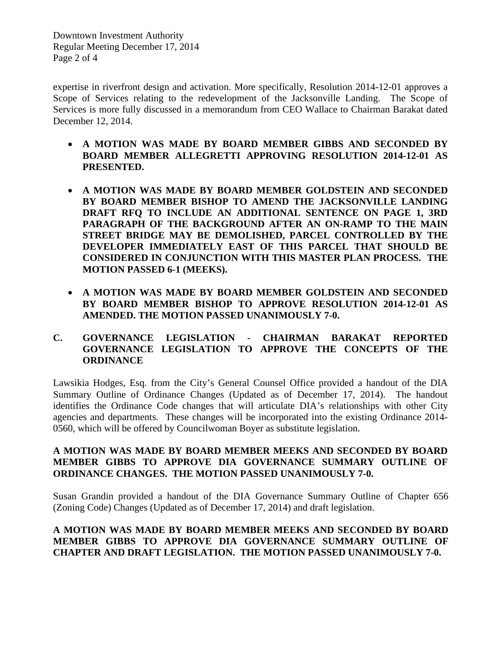Downtown Investment Authority Regular Meeting December 17, 2014 Page 2 of 4

expertise in riverfront design and activation. More specifically, Resolution 2014-12-01 approves a Scope of Services relating to the redevelopment of the Jacksonville Landing. The Scope of Services is more fully discussed in a memorandum from CEO Wallace to Chairman Barakat dated December 12, 2014.

- **A MOTION WAS MADE BY BOARD MEMBER GIBBS AND SECONDED BY BOARD MEMBER ALLEGRETTI APPROVING RESOLUTION 2014-12-01 AS PRESENTED.**
- **A MOTION WAS MADE BY BOARD MEMBER GOLDSTEIN AND SECONDED BY BOARD MEMBER BISHOP TO AMEND THE JACKSONVILLE LANDING DRAFT RFQ TO INCLUDE AN ADDITIONAL SENTENCE ON PAGE 1, 3RD PARAGRAPH OF THE BACKGROUND AFTER AN ON-RAMP TO THE MAIN STREET BRIDGE MAY BE DEMOLISHED, PARCEL CONTROLLED BY THE DEVELOPER IMMEDIATELY EAST OF THIS PARCEL THAT SHOULD BE CONSIDERED IN CONJUNCTION WITH THIS MASTER PLAN PROCESS. THE MOTION PASSED 6-1 (MEEKS).**
- **A MOTION WAS MADE BY BOARD MEMBER GOLDSTEIN AND SECONDED BY BOARD MEMBER BISHOP TO APPROVE RESOLUTION 2014-12-01 AS AMENDED. THE MOTION PASSED UNANIMOUSLY 7-0.**

### **C. GOVERNANCE LEGISLATION - CHAIRMAN BARAKAT REPORTED GOVERNANCE LEGISLATION TO APPROVE THE CONCEPTS OF THE ORDINANCE**

Lawsikia Hodges, Esq. from the City's General Counsel Office provided a handout of the DIA Summary Outline of Ordinance Changes (Updated as of December 17, 2014). The handout identifies the Ordinance Code changes that will articulate DIA's relationships with other City agencies and departments. These changes will be incorporated into the existing Ordinance 2014- 0560, which will be offered by Councilwoman Boyer as substitute legislation.

#### **A MOTION WAS MADE BY BOARD MEMBER MEEKS AND SECONDED BY BOARD MEMBER GIBBS TO APPROVE DIA GOVERNANCE SUMMARY OUTLINE OF ORDINANCE CHANGES. THE MOTION PASSED UNANIMOUSLY 7-0.**

Susan Grandin provided a handout of the DIA Governance Summary Outline of Chapter 656 (Zoning Code) Changes (Updated as of December 17, 2014) and draft legislation.

### **A MOTION WAS MADE BY BOARD MEMBER MEEKS AND SECONDED BY BOARD MEMBER GIBBS TO APPROVE DIA GOVERNANCE SUMMARY OUTLINE OF CHAPTER AND DRAFT LEGISLATION. THE MOTION PASSED UNANIMOUSLY 7-0.**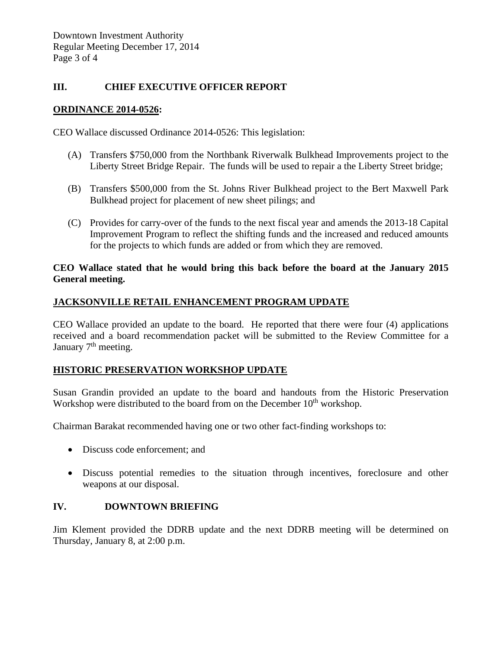#### **III. CHIEF EXECUTIVE OFFICER REPORT**

#### **ORDINANCE 2014-0526:**

CEO Wallace discussed Ordinance 2014-0526: This legislation:

- (A) Transfers \$750,000 from the Northbank Riverwalk Bulkhead Improvements project to the Liberty Street Bridge Repair. The funds will be used to repair a the Liberty Street bridge;
- (B) Transfers \$500,000 from the St. Johns River Bulkhead project to the Bert Maxwell Park Bulkhead project for placement of new sheet pilings; and
- (C) Provides for carry-over of the funds to the next fiscal year and amends the 2013-18 Capital Improvement Program to reflect the shifting funds and the increased and reduced amounts for the projects to which funds are added or from which they are removed.

#### **CEO Wallace stated that he would bring this back before the board at the January 2015 General meeting.**

### **JACKSONVILLE RETAIL ENHANCEMENT PROGRAM UPDATE**

CEO Wallace provided an update to the board. He reported that there were four (4) applications received and a board recommendation packet will be submitted to the Review Committee for a January  $7<sup>th</sup>$  meeting.

### **HISTORIC PRESERVATION WORKSHOP UPDATE**

Susan Grandin provided an update to the board and handouts from the Historic Preservation Workshop were distributed to the board from on the December  $10<sup>th</sup>$  workshop.

Chairman Barakat recommended having one or two other fact-finding workshops to:

- Discuss code enforcement; and
- Discuss potential remedies to the situation through incentives, foreclosure and other weapons at our disposal.

#### **IV. DOWNTOWN BRIEFING**

Jim Klement provided the DDRB update and the next DDRB meeting will be determined on Thursday, January 8, at 2:00 p.m.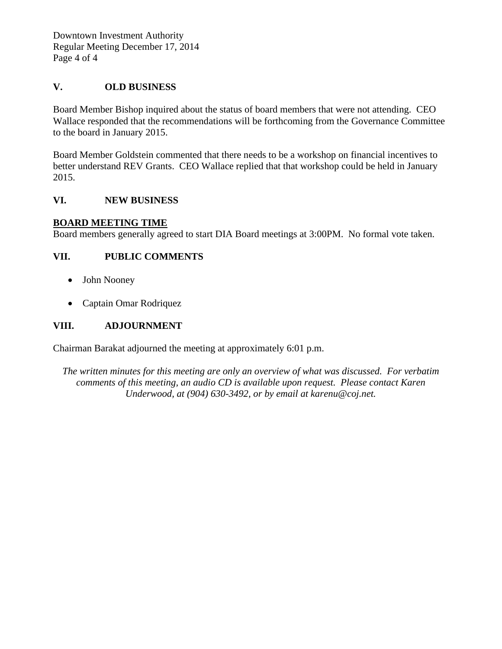Downtown Investment Authority Regular Meeting December 17, 2014 Page 4 of 4

#### **V. OLD BUSINESS**

Board Member Bishop inquired about the status of board members that were not attending. CEO Wallace responded that the recommendations will be forthcoming from the Governance Committee to the board in January 2015.

Board Member Goldstein commented that there needs to be a workshop on financial incentives to better understand REV Grants. CEO Wallace replied that that workshop could be held in January 2015.

#### **VI. NEW BUSINESS**

#### **BOARD MEETING TIME**

Board members generally agreed to start DIA Board meetings at 3:00PM. No formal vote taken.

#### **VII. PUBLIC COMMENTS**

- John Nooney
- Captain Omar Rodriquez

#### **VIII. ADJOURNMENT**

Chairman Barakat adjourned the meeting at approximately 6:01 p.m.

*The written minutes for this meeting are only an overview of what was discussed. For verbatim comments of this meeting, an audio CD is available upon request. Please contact Karen Underwood, at (904) 630-3492, or by email at karenu@coj.net.*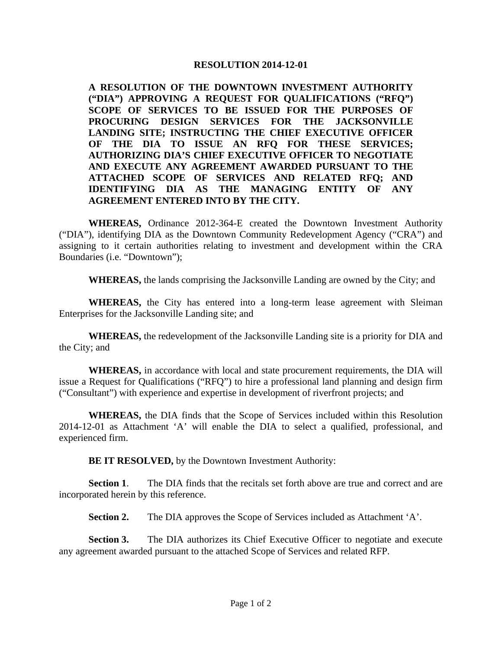#### **RESOLUTION 2014-12-01**

**A RESOLUTION OF THE DOWNTOWN INVESTMENT AUTHORITY ("DIA") APPROVING A REQUEST FOR QUALIFICATIONS ("RFQ") SCOPE OF SERVICES TO BE ISSUED FOR THE PURPOSES OF PROCURING DESIGN SERVICES FOR THE JACKSONVILLE LANDING SITE; INSTRUCTING THE CHIEF EXECUTIVE OFFICER OF THE DIA TO ISSUE AN RFQ FOR THESE SERVICES; AUTHORIZING DIA'S CHIEF EXECUTIVE OFFICER TO NEGOTIATE AND EXECUTE ANY AGREEMENT AWARDED PURSUANT TO THE ATTACHED SCOPE OF SERVICES AND RELATED RFQ; AND IDENTIFYING DIA AS THE MANAGING ENTITY OF ANY AGREEMENT ENTERED INTO BY THE CITY.** 

**WHEREAS,** Ordinance 2012-364-E created the Downtown Investment Authority ("DIA"), identifying DIA as the Downtown Community Redevelopment Agency ("CRA") and assigning to it certain authorities relating to investment and development within the CRA Boundaries (i.e. "Downtown");

**WHEREAS,** the lands comprising the Jacksonville Landing are owned by the City; and

**WHEREAS,** the City has entered into a long-term lease agreement with Sleiman Enterprises for the Jacksonville Landing site; and

**WHEREAS,** the redevelopment of the Jacksonville Landing site is a priority for DIA and the City; and

**WHEREAS,** in accordance with local and state procurement requirements, the DIA will issue a Request for Qualifications ("RFQ") to hire a professional land planning and design firm ("Consultant") with experience and expertise in development of riverfront projects; and

**WHEREAS,** the DIA finds that the Scope of Services included within this Resolution 2014-12-01 as Attachment 'A' will enable the DIA to select a qualified, professional, and experienced firm.

**BE IT RESOLVED,** by the Downtown Investment Authority:

**Section 1.** The DIA finds that the recitals set forth above are true and correct and are incorporated herein by this reference.

**Section 2.** The DIA approves the Scope of Services included as Attachment 'A'.

**Section 3.** The DIA authorizes its Chief Executive Officer to negotiate and execute any agreement awarded pursuant to the attached Scope of Services and related RFP.